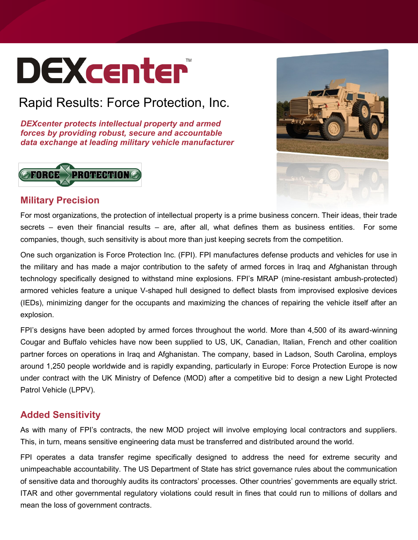# **DEXcenter**

## Rapid Results: Force Protection, Inc.

*DEXcenter protects intellectual property and armed forces by providing robust, secure and accountable data exchange at leading military vehicle manufacturer*





#### **Military Precision**

For most organizations, the protection of intellectual property is a prime business concern. Their ideas, their trade secrets – even their financial results – are, after all, what defines them as business entities. For some companies, though, such sensitivity is about more than just keeping secrets from the competition.

One such organization is Force Protection Inc. (FPI). FPI manufactures defense products and vehicles for use in the military and has made a major contribution to the safety of armed forces in Iraq and Afghanistan through technology specifically designed to withstand mine explosions. FPI's MRAP (mine-resistant ambush-protected) armored vehicles feature a unique V-shaped hull designed to deflect blasts from improvised explosive devices (IEDs), minimizing danger for the occupants and maximizing the chances of repairing the vehicle itself after an explosion.

FPI's designs have been adopted by armed forces throughout the world. More than 4,500 of its award-winning Cougar and Buffalo vehicles have now been supplied to US, UK, Canadian, Italian, French and other coalition partner forces on operations in Iraq and Afghanistan. The company, based in Ladson, South Carolina, employs around 1,250 people worldwide and is rapidly expanding, particularly in Europe: Force Protection Europe is now under contract with the UK Ministry of Defence (MOD) after a competitive bid to design a new Light Protected Patrol Vehicle (LPPV).

### **Added Sensitivity**

As with many of FPI's contracts, the new MOD project will involve employing local contractors and suppliers. This, in turn, means sensitive engineering data must be transferred and distributed around the world.

FPI operates a data transfer regime specifically designed to address the need for extreme security and unimpeachable accountability. The US Department of State has strict governance rules about the communication of sensitive data and thoroughly audits its contractors' processes. Other countries' governments are equally strict. ITAR and other governmental regulatory violations could result in fines that could run to millions of dollars and mean the loss of government contracts.